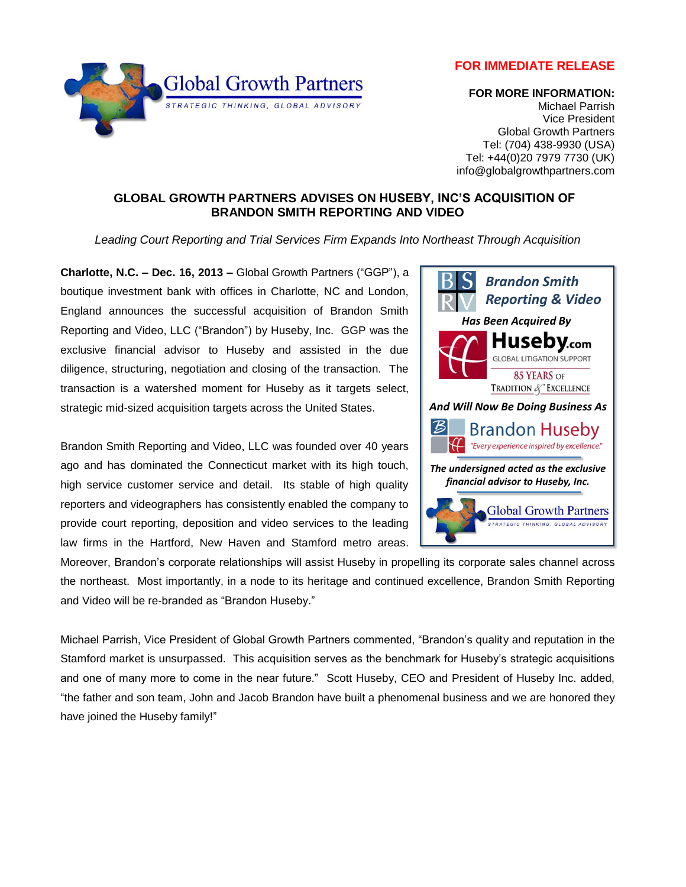**FOR IMMEDIATE RELEASE**



## **FOR MORE INFORMATION:**

Michael Parrish Vice President Global Growth Partners Tel: (704) 438-9930 (USA) Tel: +44(0)20 7979 7730 (UK) info@globalgrowthpartners.com

## **GLOBAL GROWTH PARTNERS ADVISES ON HUSEBY, INC'S ACQUISITION OF BRANDON SMITH REPORTING AND VIDEO**

*Leading Court Reporting and Trial Services Firm Expands Into Northeast Through Acquisition*

**Charlotte, N.C. – Dec. 16, 2013 –** Global Growth Partners ("GGP"), a boutique investment bank with offices in Charlotte, NC and London, England announces the successful acquisition of Brandon Smith Reporting and Video, LLC ("Brandon") by Huseby, Inc. GGP was the exclusive financial advisor to Huseby and assisted in the due diligence, structuring, negotiation and closing of the transaction. The transaction is a watershed moment for Huseby as it targets select, strategic mid-sized acquisition targets across the United States.

Brandon Smith Reporting and Video, LLC was founded over 40 years ago and has dominated the Connecticut market with its high touch, high service customer service and detail. Its stable of high quality reporters and videographers has consistently enabled the company to provide court reporting, deposition and video services to the leading law firms in the Hartford, New Haven and Stamford metro areas.



*Has Been Acquired By*

*Brandon Smith Reporting & Video* 

Huseby.com **GLOBAL LITIGATION SUPPORT** 

Moreover, Brandon's corporate relationships will assist Huseby in propelling its corporate sales channel across the northeast. Most importantly, in a node to its heritage and continued excellence, Brandon Smith Reporting and Video will be re-branded as "Brandon Huseby."

Michael Parrish, Vice President of Global Growth Partners commented, "Brandon's quality and reputation in the Stamford market is unsurpassed. This acquisition serves as the benchmark for Huseby's strategic acquisitions and one of many more to come in the near future." Scott Huseby, CEO and President of Huseby Inc. added, "the father and son team, John and Jacob Brandon have built a phenomenal business and we are honored they have joined the Huseby family!"